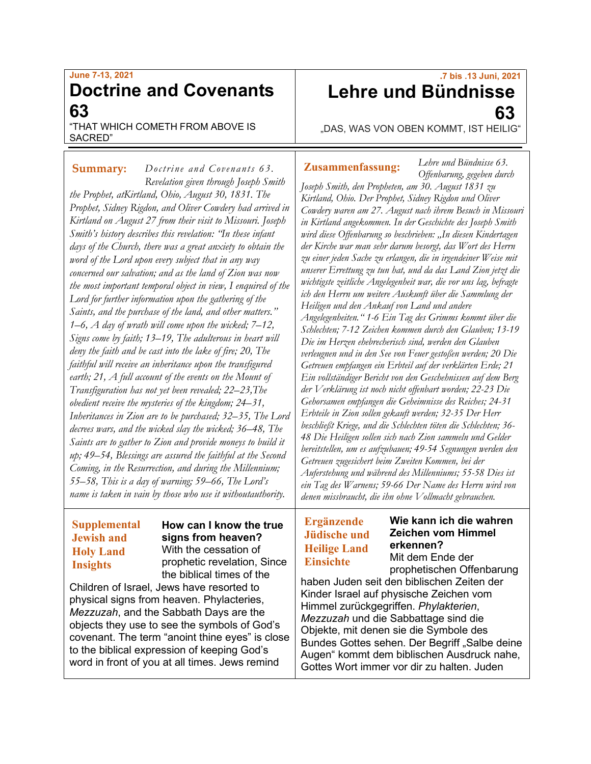# **June 7-13, 2021 Doctrine and Covenants 63**

"THAT WHICH COMETH FROM ABOVE IS SACRED"

*Doctrine and Covenants 63.* **Summary: Zusammenfassung:** *Revelation given through Joseph Smith the Prophet, atKirtland, Ohio, August 30, 1831. The Prophet, Sidney Rigdon, and Oliver Cowdery had arrived in Kirtland on August 27 from their visit to Missouri. Joseph Smith's history describes this revelation: "In these infant days of the Church, there was a great anxiety to obtain the word of the Lord upon every subject that in any way concerned our salvation; and as the land of Zion was now the most important temporal object in view, I enquired of the Lord for further information upon the gathering of the Saints, and the purchase of the land, and other matters." 1–6, A day of wrath will come upon the wicked; 7–12, Signs come by faith; 13–19, The adulterous in heart will deny the faith and be cast into the lake of fire; 20, The faithful will receive an inheritance upon the transfigured earth; 21, A full account of the events on the Mount of Transfiguration has not yet been revealed; 22–23,The obedient receive the mysteries of the kingdom; 24–31, Inheritances in Zion are to be purchased; 32–35, The Lord decrees wars, and the wicked slay the wicked; 36–48, The Saints are to gather to Zion and provide moneys to build it up; 49–54, Blessings are assured the faithful at the Second Coming, in the Resurrection, and during the Millennium; 55–58, This is a day of warning; 59–66, The Lord's name is taken in vain by those who use it withoutauthority.*

## **Supplemental Jewish and Holy Land Insights**

### **How can I know the true signs from heaven?** With the cessation of prophetic revelation, Since the biblical times of the

Children of Israel, Jews have resorted to physical signs from heaven. Phylacteries, *Mezzuzah*, and the Sabbath Days are the objects they use to see the symbols of God's covenant. The term "anoint thine eyes" is close to the biblical expression of keeping God's word in front of you at all times. Jews remind

# **.7 bis .13 Juni, 2021 Lehre und Bündnisse 63**

"DAS, WAS VON OBEN KOMMT, IST HEILIG"

*Lehre und Bündnisse 63.*

*Offenbarung, gegeben durch Joseph Smith, den Propheten, am 30. August 1831 zu Kirtland, Ohio. Der Prophet, Sidney Rigdon und Oliver Cowdery waren am 27. August nach ihrem Besuch in Missouri in Kirtland angekommen. In der Geschichte des Joseph Smith wird diese Offenbarung so beschrieben: "In diesen Kindertagen der Kirche war man sehr darum besorgt, das Wort des Herrn zu einer jeden Sache zu erlangen, die in irgendeiner Weise mit unserer Errettung zu tun hat, und da das Land Zion jetzt die wichtigste zeitliche Angelegenheit war, die vor uns lag, befragte ich den Herrn um weitere Auskunft über die Sammlung der Heiligen und den Ankauf von Land und andere Angelegenheiten." 1-6 Ein Tag des Grimms kommt über die Schlechten; 7-12 Zeichen kommen durch den Glauben; 13-19 Die im Herzen ehebrecherisch sind, werden den Glauben verleugnen und in den See von Feuer gestoßen werden; 20 Die Getreuen empfangen ein Erbteil auf der verklärten Erde; 21 Ein vollständiger Bericht von den Geschehnissen auf dem Berg der Verklärung ist noch nicht offenbart worden; 22-23 Die Gehorsamen empfangen die Geheimnisse des Reiches; 24-31 Erbteile in Zion sollen gekauft werden; 32-35 Der Herr beschließt Kriege, und die Schlechten töten die Schlechten; 36- 48 Die Heiligen sollen sich nach Zion sammeln und Gelder bereitstellen, um es aufzubauen; 49-54 Segnungen werden den Getreuen zugesichert beim Zweiten Kommen, bei der Auferstehung und während des Millenniums; 55-58 Dies ist ein Tag des Warnens; 59-66 Der Name des Herrn wird von denen missbraucht, die ihn ohne Vollmacht gebrauchen.*

## **Ergänzende Jüdische und Heilige Land Einsichte**

### **Wie kann ich die wahren Zeichen vom Himmel erkennen?**

Mit dem Ende der prophetischen Offenbarung

haben Juden seit den biblischen Zeiten der Kinder Israel auf physische Zeichen vom Himmel zurückgegriffen. *Phylakterien*, *Mezzuzah* und die Sabbattage sind die Objekte, mit denen sie die Symbole des Bundes Gottes sehen. Der Begriff "Salbe deine Augen" kommt dem biblischen Ausdruck nahe, Gottes Wort immer vor dir zu halten. Juden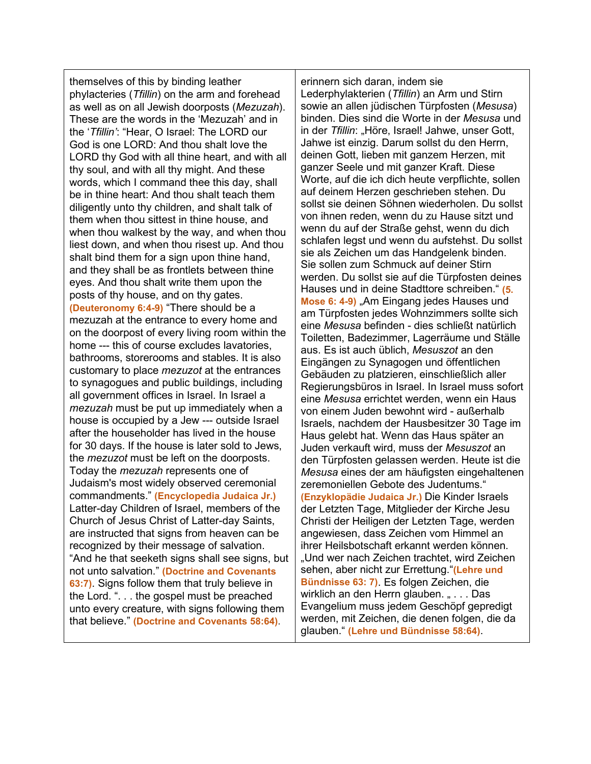themselves of this by binding leather phylacteries (*Tfillin*) on the arm and forehead as well as on all Jewish doorposts (*Mezuzah*). These are the words in the 'Mezuzah' and in the '*Tfillin'*: "Hear, O Israel: The LORD our God is one LORD: And thou shalt love the LORD thy God with all thine heart, and with all thy soul, and with all thy might. And these words, which I command thee this day, shall be in thine heart: And thou shalt teach them diligently unto thy children, and shalt talk of them when thou sittest in thine house, and when thou walkest by the way, and when thou liest down, and when thou risest up. And thou shalt bind them for a sign upon thine hand, and they shall be as frontlets between thine eyes. And thou shalt write them upon the posts of thy house, and on thy gates. **(Deuteronomy 6:4-9)** "There should be a mezuzah at the entrance to every home and on the doorpost of every living room within the home --- this of course excludes lavatories, bathrooms, storerooms and stables. It is also customary to place *mezuzot* at the entrances to synagogues and public buildings, including all government offices in Israel. In Israel a *mezuzah* must be put up immediately when a house is occupied by a Jew --- outside Israel after the householder has lived in the house for 30 days. If the house is later sold to Jews, the *mezuzot* must be left on the doorposts. Today the *mezuzah* represents one of Judaism's most widely observed ceremonial commandments." **(Encyclopedia Judaica Jr.)** Latter-day Children of Israel, members of the Church of Jesus Christ of Latter-day Saints, are instructed that signs from heaven can be recognized by their message of salvation. "And he that seeketh signs shall see signs, but not unto salvation." **(Doctrine and Covenants 63:7)**. Signs follow them that truly believe in the Lord. ". . . the gospel must be preached unto every creature, with signs following them that believe." **(Doctrine and Covenants 58:64)**.

erinnern sich daran, indem sie Lederphylakterien (*Tfillin*) an Arm und Stirn sowie an allen jüdischen Türpfosten (*Mesusa*) binden. Dies sind die Worte in der *Mesusa* und in der *Tfillin*: "Höre, Israel! Jahwe, unser Gott, Jahwe ist einzig. Darum sollst du den Herrn, deinen Gott, lieben mit ganzem Herzen, mit ganzer Seele und mit ganzer Kraft. Diese Worte, auf die ich dich heute verpflichte, sollen auf deinem Herzen geschrieben stehen. Du sollst sie deinen Söhnen wiederholen. Du sollst von ihnen reden, wenn du zu Hause sitzt und wenn du auf der Straße gehst, wenn du dich schlafen legst und wenn du aufstehst. Du sollst sie als Zeichen um das Handgelenk binden. Sie sollen zum Schmuck auf deiner Stirn werden. Du sollst sie auf die Türpfosten deines Hauses und in deine Stadttore schreiben." **(5. Mose 6: 4-9)** "Am Eingang jedes Hauses und am Türpfosten jedes Wohnzimmers sollte sich eine *Mesusa* befinden - dies schließt natürlich Toiletten, Badezimmer, Lagerräume und Ställe aus. Es ist auch üblich, *Mesuszot* an den Eingängen zu Synagogen und öffentlichen Gebäuden zu platzieren, einschließlich aller Regierungsbüros in Israel. In Israel muss sofort eine *Mesusa* errichtet werden, wenn ein Haus von einem Juden bewohnt wird - außerhalb Israels, nachdem der Hausbesitzer 30 Tage im Haus gelebt hat. Wenn das Haus später an Juden verkauft wird, muss der *Mesuszot* an den Türpfosten gelassen werden. Heute ist die *Mesusa* eines der am häufigsten eingehaltenen zeremoniellen Gebote des Judentums." **(Enzyklopädie Judaica Jr.)** Die Kinder Israels der Letzten Tage, Mitglieder der Kirche Jesu Christi der Heiligen der Letzten Tage, werden angewiesen, dass Zeichen vom Himmel an ihrer Heilsbotschaft erkannt werden können. "Und wer nach Zeichen trachtet, wird Zeichen sehen, aber nicht zur Errettung."**(Lehre und Bündnisse 63: 7)**. Es folgen Zeichen, die wirklich an den Herrn glauben. " . . . Das Evangelium muss jedem Geschöpf gepredigt werden, mit Zeichen, die denen folgen, die da glauben." **(Lehre und Bündnisse 58:64)**.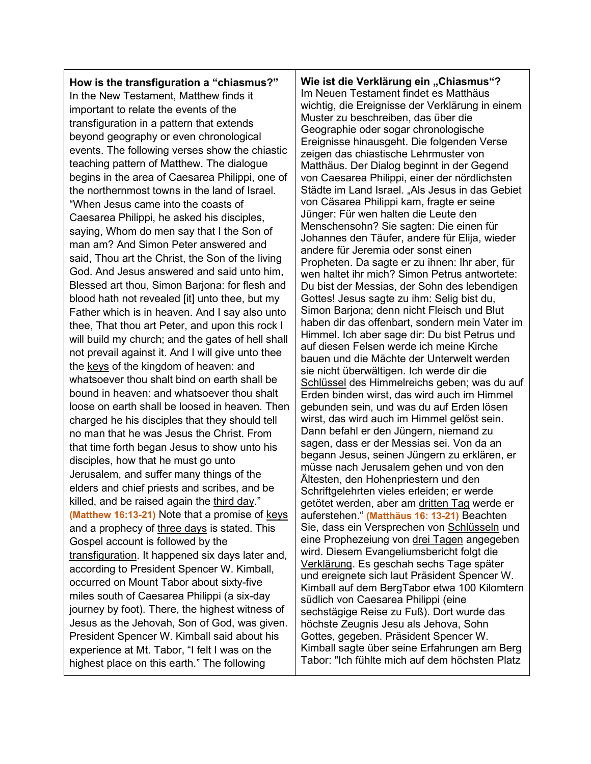**How is the transfiguration a "chiasmus?"** In the New Testament, Matthew finds it important to relate the events of the transfiguration in a pattern that extends beyond geography or even chronological events. The following verses show the chiastic teaching pattern of Matthew. The dialogue begins in the area of Caesarea Philippi, one of the northernmost towns in the land of Israel. "When Jesus came into the coasts of Caesarea Philippi, he asked his disciples, saying, Whom do men say that I the Son of man am? And Simon Peter answered and said, Thou art the Christ, the Son of the living God. And Jesus answered and said unto him, Blessed art thou, Simon Barjona: for flesh and blood hath not revealed [it] unto thee, but my Father which is in heaven. And I say also unto thee, That thou art Peter, and upon this rock I will build my church; and the gates of hell shall not prevail against it. And I will give unto thee the keys of the kingdom of heaven: and whatsoever thou shalt bind on earth shall be bound in heaven: and whatsoever thou shalt loose on earth shall be loosed in heaven. Then charged he his disciples that they should tell no man that he was Jesus the Christ. From that time forth began Jesus to show unto his disciples, how that he must go unto Jerusalem, and suffer many things of the elders and chief priests and scribes, and be killed, and be raised again the third day." **(Matthew 16:13-21)** Note that a promise of keys and a prophecy of three days is stated. This Gospel account is followed by the transfiguration. It happened six days later and, according to President Spencer W. Kimball, occurred on Mount Tabor about sixty-five miles south of Caesarea Philippi (a six-day journey by foot). There, the highest witness of Jesus as the Jehovah, Son of God, was given. President Spencer W. Kimball said about his experience at Mt. Tabor, "I felt I was on the highest place on this earth." The following

**Wie ist die Verklärung ein "Chiasmus"?** Im Neuen Testament findet es Matthäus wichtig, die Ereignisse der Verklärung in einem Muster zu beschreiben, das über die Geographie oder sogar chronologische Ereignisse hinausgeht. Die folgenden Verse zeigen das chiastische Lehrmuster von Matthäus. Der Dialog beginnt in der Gegend von Caesarea Philippi, einer der nördlichsten Städte im Land Israel. "Als Jesus in das Gebiet von Cäsarea Philippi kam, fragte er seine Jünger: Für wen halten die Leute den Menschensohn? Sie sagten: Die einen für Johannes den Täufer, andere für Elija, wieder andere für Jeremia oder sonst einen Propheten. Da sagte er zu ihnen: Ihr aber, für wen haltet ihr mich? Simon Petrus antwortete: Du bist der Messias, der Sohn des lebendigen Gottes! Jesus sagte zu ihm: Selig bist du, Simon Barjona; denn nicht Fleisch und Blut haben dir das offenbart, sondern mein Vater im Himmel. Ich aber sage dir: Du bist Petrus und auf diesen Felsen werde ich meine Kirche bauen und die Mächte der Unterwelt werden sie nicht überwältigen. Ich werde dir die Schlüssel des Himmelreichs geben; was du auf Erden binden wirst, das wird auch im Himmel gebunden sein, und was du auf Erden lösen wirst, das wird auch im Himmel gelöst sein. Dann befahl er den Jüngern, niemand zu sagen, dass er der Messias sei. Von da an begann Jesus, seinen Jüngern zu erklären, er müsse nach Jerusalem gehen und von den Ältesten, den Hohenpriestern und den Schriftgelehrten vieles erleiden; er werde getötet werden, aber am dritten Tag werde er auferstehen." **(Matthäus 16: 13-21)** Beachten Sie, dass ein Versprechen von Schlüsseln und eine Prophezeiung von drei Tagen angegeben wird. Diesem Evangeliumsbericht folgt die Verklärung. Es geschah sechs Tage später und ereignete sich laut Präsident Spencer W. Kimball auf dem BergTabor etwa 100 Kilomtern südlich von Caesarea Philippi (eine sechstägige Reise zu Fuß). Dort wurde das höchste Zeugnis Jesu als Jehova, Sohn Gottes, gegeben. Präsident Spencer W. Kimball sagte über seine Erfahrungen am Berg Tabor: "Ich fühlte mich auf dem höchsten Platz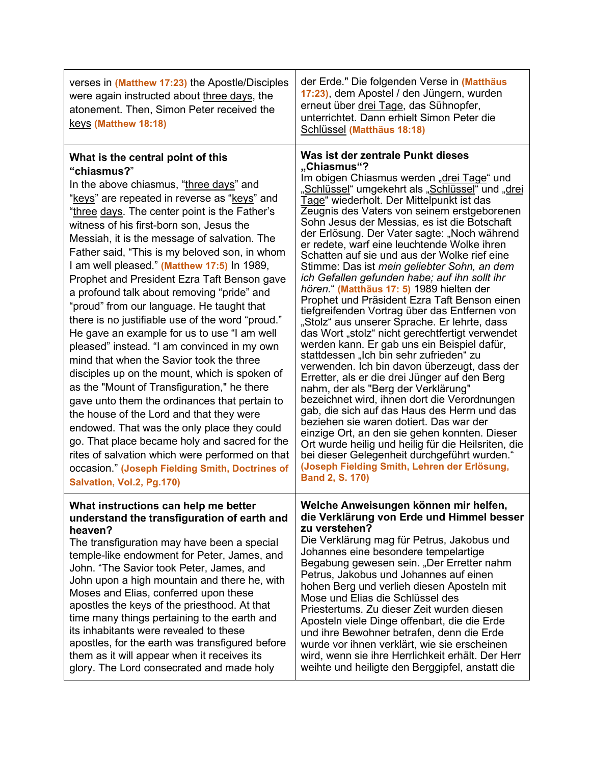| verses in (Matthew 17:23) the Apostle/Disciples<br>were again instructed about three days, the<br>atonement. Then, Simon Peter received the<br>keys (Matthew 18:18)                                                                                                                                                                                                                                                                                                                                                                                                                                                                                                                                                                                                                                                                                                                                                                                                                                                                                                                                                                                              | der Erde." Die folgenden Verse in (Matthäus<br>17:23), dem Apostel / den Jüngern, wurden<br>erneut über drei Tage, das Sühnopfer,<br>unterrichtet. Dann erhielt Simon Peter die<br>Schlüssel (Matthäus 18:18)                                                                                                                                                                                                                                                                                                                                                                                                                                                                                                                                                                                                                                                                                                                                                                                                                                                                                                                                                                                                                                                                                                                                                                                        |
|------------------------------------------------------------------------------------------------------------------------------------------------------------------------------------------------------------------------------------------------------------------------------------------------------------------------------------------------------------------------------------------------------------------------------------------------------------------------------------------------------------------------------------------------------------------------------------------------------------------------------------------------------------------------------------------------------------------------------------------------------------------------------------------------------------------------------------------------------------------------------------------------------------------------------------------------------------------------------------------------------------------------------------------------------------------------------------------------------------------------------------------------------------------|------------------------------------------------------------------------------------------------------------------------------------------------------------------------------------------------------------------------------------------------------------------------------------------------------------------------------------------------------------------------------------------------------------------------------------------------------------------------------------------------------------------------------------------------------------------------------------------------------------------------------------------------------------------------------------------------------------------------------------------------------------------------------------------------------------------------------------------------------------------------------------------------------------------------------------------------------------------------------------------------------------------------------------------------------------------------------------------------------------------------------------------------------------------------------------------------------------------------------------------------------------------------------------------------------------------------------------------------------------------------------------------------------|
| What is the central point of this<br>"chiasmus?"<br>In the above chiasmus, "three days" and<br>"keys" are repeated in reverse as "keys" and<br>"three days. The center point is the Father's<br>witness of his first-born son, Jesus the<br>Messiah, it is the message of salvation. The<br>Father said, "This is my beloved son, in whom<br>I am well pleased." (Matthew 17:5) In 1989,<br>Prophet and President Ezra Taft Benson gave<br>a profound talk about removing "pride" and<br>"proud" from our language. He taught that<br>there is no justifiable use of the word "proud."<br>He gave an example for us to use "I am well<br>pleased" instead. "I am convinced in my own<br>mind that when the Savior took the three<br>disciples up on the mount, which is spoken of<br>as the "Mount of Transfiguration," he there<br>gave unto them the ordinances that pertain to<br>the house of the Lord and that they were<br>endowed. That was the only place they could<br>go. That place became holy and sacred for the<br>rites of salvation which were performed on that<br>occasion." (Joseph Fielding Smith, Doctrines of<br>Salvation, Vol.2, Pg.170) | Was ist der zentrale Punkt dieses<br>"Chiasmus"?<br>Im obigen Chiasmus werden "drei Tage" und<br>"Schlüssel" umgekehrt als "Schlüssel" und "drei<br>Tage" wiederholt. Der Mittelpunkt ist das<br>Zeugnis des Vaters von seinem erstgeborenen<br>Sohn Jesus der Messias, es ist die Botschaft<br>der Erlösung. Der Vater sagte: "Noch während<br>er redete, warf eine leuchtende Wolke ihren<br>Schatten auf sie und aus der Wolke rief eine<br>Stimme: Das ist mein geliebter Sohn, an dem<br>ich Gefallen gefunden habe; auf ihn sollt ihr<br>hören." (Matthäus 17: 5) 1989 hielten der<br>Prophet und Präsident Ezra Taft Benson einen<br>tiefgreifenden Vortrag über das Entfernen von<br>"Stolz" aus unserer Sprache. Er lehrte, dass<br>das Wort "stolz" nicht gerechtfertigt verwendet<br>werden kann. Er gab uns ein Beispiel dafür,<br>stattdessen "Ich bin sehr zufrieden" zu<br>verwenden. Ich bin davon überzeugt, dass der<br>Erretter, als er die drei Jünger auf den Berg<br>nahm, der als "Berg der Verklärung"<br>bezeichnet wird, ihnen dort die Verordnungen<br>gab, die sich auf das Haus des Herrn und das<br>beziehen sie waren dotiert. Das war der<br>einzige Ort, an den sie gehen konnten. Dieser<br>Ort wurde heilig und heilig für die Heilsriten, die<br>bei dieser Gelegenheit durchgeführt wurden."<br>(Joseph Fielding Smith, Lehren der Erlösung,<br>Band 2, S. 170) |
| What instructions can help me better<br>understand the transfiguration of earth and<br>heaven?<br>The transfiguration may have been a special<br>temple-like endowment for Peter, James, and<br>John. "The Savior took Peter, James, and<br>John upon a high mountain and there he, with<br>Moses and Elias, conferred upon these<br>apostles the keys of the priesthood. At that<br>time many things pertaining to the earth and<br>its inhabitants were revealed to these<br>apostles, for the earth was transfigured before<br>them as it will appear when it receives its<br>glory. The Lord consecrated and made holy                                                                                                                                                                                                                                                                                                                                                                                                                                                                                                                                       | Welche Anweisungen können mir helfen,<br>die Verklärung von Erde und Himmel besser<br>zu verstehen?<br>Die Verklärung mag für Petrus, Jakobus und<br>Johannes eine besondere tempelartige<br>Begabung gewesen sein. "Der Erretter nahm<br>Petrus, Jakobus und Johannes auf einen<br>hohen Berg und verlieh diesen Aposteln mit<br>Mose und Elias die Schlüssel des<br>Priestertums. Zu dieser Zeit wurden diesen<br>Aposteln viele Dinge offenbart, die die Erde<br>und ihre Bewohner betrafen, denn die Erde<br>wurde vor ihnen verklärt, wie sie erscheinen<br>wird, wenn sie ihre Herrlichkeit erhält. Der Herr<br>weihte und heiligte den Berggipfel, anstatt die                                                                                                                                                                                                                                                                                                                                                                                                                                                                                                                                                                                                                                                                                                                                |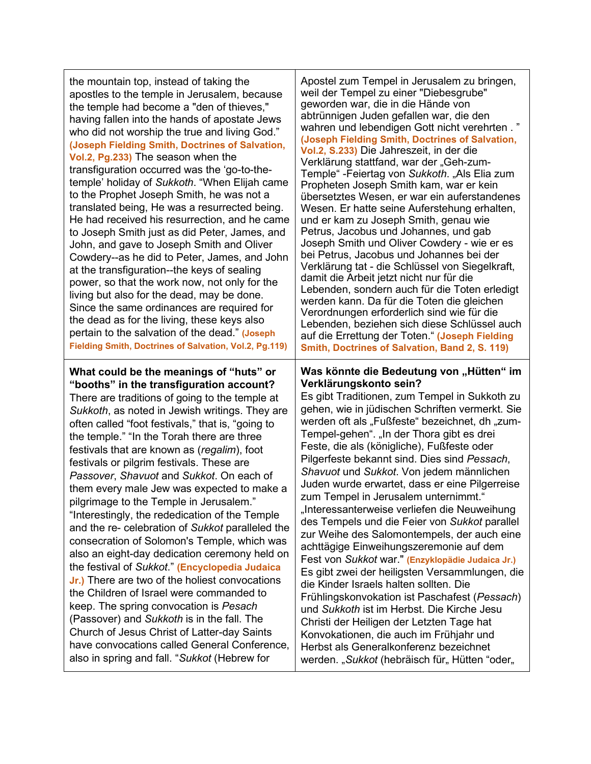the mountain top, instead of taking the apostles to the temple in Jerusalem, because the temple had become a "den of thieves," having fallen into the hands of apostate Jews who did not worship the true and living God." **(Joseph Fielding Smith, Doctrines of Salvation, Vol.2, Pg.233)** The season when the transfiguration occurred was the 'go-to-thetemple' holiday of *Sukkoth*. "When Elijah came to the Prophet Joseph Smith, he was not a translated being, He was a resurrected being. He had received his resurrection, and he came to Joseph Smith just as did Peter, James, and John, and gave to Joseph Smith and Oliver Cowdery--as he did to Peter, James, and John at the transfiguration--the keys of sealing power, so that the work now, not only for the living but also for the dead, may be done. Since the same ordinances are required for the dead as for the living, these keys also pertain to the salvation of the dead." **(Joseph Fielding Smith, Doctrines of Salvation, Vol.2, Pg.119)**

**What could be the meanings of "huts" or "booths" in the transfiguration account?** There are traditions of going to the temple at *Sukkoth*, as noted in Jewish writings. They are often called "foot festivals," that is, "going to the temple." "In the Torah there are three festivals that are known as (*regalim*), foot festivals or pilgrim festivals. These are *Passover*, *Shavuot* and *Sukkot*. On each of them every male Jew was expected to make a pilgrimage to the Temple in Jerusalem." "Interestingly, the rededication of the Temple and the re- celebration of *Sukkot* paralleled the consecration of Solomon's Temple, which was also an eight-day dedication ceremony held on the festival of *Sukkot*." **(Encyclopedia Judaica Jr.)** There are two of the holiest convocations the Children of Israel were commanded to keep. The spring convocation is *Pesach* (Passover) and *Sukkoth* is in the fall. The Church of Jesus Christ of Latter-day Saints have convocations called General Conference, also in spring and fall. "*Sukkot* (Hebrew for

Apostel zum Tempel in Jerusalem zu bringen, weil der Tempel zu einer "Diebesgrube" geworden war, die in die Hände von abtrünnigen Juden gefallen war, die den wahren und lebendigen Gott nicht verehrten . " **(Joseph Fielding Smith, Doctrines of Salvation, Vol.2, S.233)** Die Jahreszeit, in der die Verklärung stattfand, war der "Geh-zum-Temple" -Feiertag von *Sukkoth*. "Als Elia zum Propheten Joseph Smith kam, war er kein übersetztes Wesen, er war ein auferstandenes Wesen. Er hatte seine Auferstehung erhalten, und er kam zu Joseph Smith, genau wie Petrus, Jacobus und Johannes, und gab Joseph Smith und Oliver Cowdery - wie er es bei Petrus, Jacobus und Johannes bei der Verklärung tat - die Schlüssel von Siegelkraft, damit die Arbeit jetzt nicht nur für die Lebenden, sondern auch für die Toten erledigt werden kann. Da für die Toten die gleichen Verordnungen erforderlich sind wie für die Lebenden, beziehen sich diese Schlüssel auch auf die Errettung der Toten." **(Joseph Fielding Smith, Doctrines of Salvation, Band 2, S. 119)**

### **Was könnte die Bedeutung von "Hütten" im Verklärungskonto sein?**

Es gibt Traditionen, zum Tempel in Sukkoth zu gehen, wie in jüdischen Schriften vermerkt. Sie werden oft als "Fußfeste" bezeichnet, dh "zum-Tempel-gehen". "In der Thora gibt es drei Feste, die als (königliche), Fußfeste oder Pilgerfeste bekannt sind. Dies sind *Pessach*, *Shavuot* und *Sukkot*. Von jedem männlichen Juden wurde erwartet, dass er eine Pilgerreise zum Tempel in Jerusalem unternimmt." "Interessanterweise verliefen die Neuweihung des Tempels und die Feier von *Sukkot* parallel zur Weihe des Salomontempels, der auch eine achttägige Einweihungszeremonie auf dem Fest von *Sukkot* war." **(Enzyklopädie Judaica Jr.)** Es gibt zwei der heiligsten Versammlungen, die die Kinder Israels halten sollten. Die Frühlingskonvokation ist Paschafest (*Pessach*) und *Sukkoth* ist im Herbst. Die Kirche Jesu Christi der Heiligen der Letzten Tage hat Konvokationen, die auch im Frühjahr und Herbst als Generalkonferenz bezeichnet werden. "Sukkot (hebräisch für "Hütten "oder "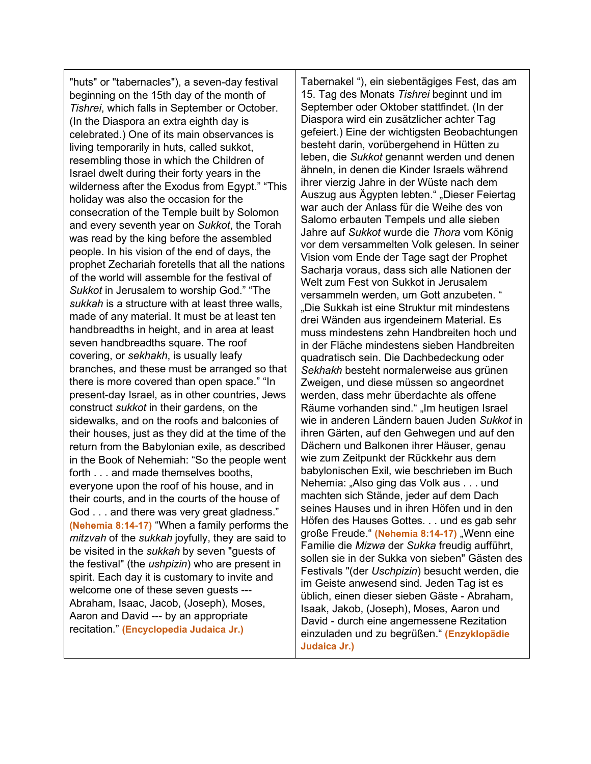"huts" or "tabernacles"), a seven-day festival beginning on the 15th day of the month of *Tishrei*, which falls in September or October. (In the Diaspora an extra eighth day is celebrated.) One of its main observances is living temporarily in huts, called sukkot, resembling those in which the Children of Israel dwelt during their forty years in the wilderness after the Exodus from Egypt." "This holiday was also the occasion for the consecration of the Temple built by Solomon and every seventh year on *Sukkot*, the Torah was read by the king before the assembled people. In his vision of the end of days, the prophet Zechariah foretells that all the nations of the world will assemble for the festival of *Sukkot* in Jerusalem to worship God." "The *sukkah* is a structure with at least three walls, made of any material. It must be at least ten handbreadths in height, and in area at least seven handbreadths square. The roof covering, or *sekhakh*, is usually leafy branches, and these must be arranged so that there is more covered than open space." "In present-day Israel, as in other countries, Jews construct *sukkot* in their gardens, on the sidewalks, and on the roofs and balconies of their houses, just as they did at the time of the return from the Babylonian exile, as described in the Book of Nehemiah: "So the people went forth . . . and made themselves booths, everyone upon the roof of his house, and in their courts, and in the courts of the house of God . . . and there was very great gladness." **(Nehemia 8:14-17)** "When a family performs the *mitzvah* of the *sukkah* joyfully, they are said to be visited in the *sukkah* by seven "guests of the festival" (the *ushpizin*) who are present in spirit. Each day it is customary to invite and welcome one of these seven guests --- Abraham, Isaac, Jacob, (Joseph), Moses, Aaron and David --- by an appropriate recitation." **(Encyclopedia Judaica Jr.)**

Tabernakel "), ein siebentägiges Fest, das am 15. Tag des Monats *Tishrei* beginnt und im September oder Oktober stattfindet. (In der Diaspora wird ein zusätzlicher achter Tag gefeiert.) Eine der wichtigsten Beobachtungen besteht darin, vorübergehend in Hütten zu leben, die *Sukkot* genannt werden und denen ähneln, in denen die Kinder Israels während ihrer vierzig Jahre in der Wüste nach dem Auszug aus Ägypten lebten." "Dieser Feiertag war auch der Anlass für die Weihe des von Salomo erbauten Tempels und alle sieben Jahre auf *Sukkot* wurde die *Thora* vom König vor dem versammelten Volk gelesen. In seiner Vision vom Ende der Tage sagt der Prophet Sacharja voraus, dass sich alle Nationen der Welt zum Fest von Sukkot in Jerusalem versammeln werden, um Gott anzubeten. " "Die Sukkah ist eine Struktur mit mindestens drei Wänden aus irgendeinem Material. Es muss mindestens zehn Handbreiten hoch und in der Fläche mindestens sieben Handbreiten quadratisch sein. Die Dachbedeckung oder *Sekhakh* besteht normalerweise aus grünen Zweigen, und diese müssen so angeordnet werden, dass mehr überdachte als offene Räume vorhanden sind." "Im heutigen Israel wie in anderen Ländern bauen Juden *Sukkot* in ihren Gärten, auf den Gehwegen und auf den Dächern und Balkonen ihrer Häuser, genau wie zum Zeitpunkt der Rückkehr aus dem babylonischen Exil, wie beschrieben im Buch Nehemia: "Also ging das Volk aus . . . und machten sich Stände, jeder auf dem Dach seines Hauses und in ihren Höfen und in den Höfen des Hauses Gottes. . . und es gab sehr große Freude." (Nehemia 8:14-17) "Wenn eine Familie die *Mizwa* der *Sukka* freudig aufführt, sollen sie in der Sukka von sieben" Gästen des Festivals "(der *Uschpizin*) besucht werden, die im Geiste anwesend sind. Jeden Tag ist es üblich, einen dieser sieben Gäste - Abraham, Isaak, Jakob, (Joseph), Moses, Aaron und David - durch eine angemessene Rezitation einzuladen und zu begrüßen." **(Enzyklopädie Judaica Jr.)**